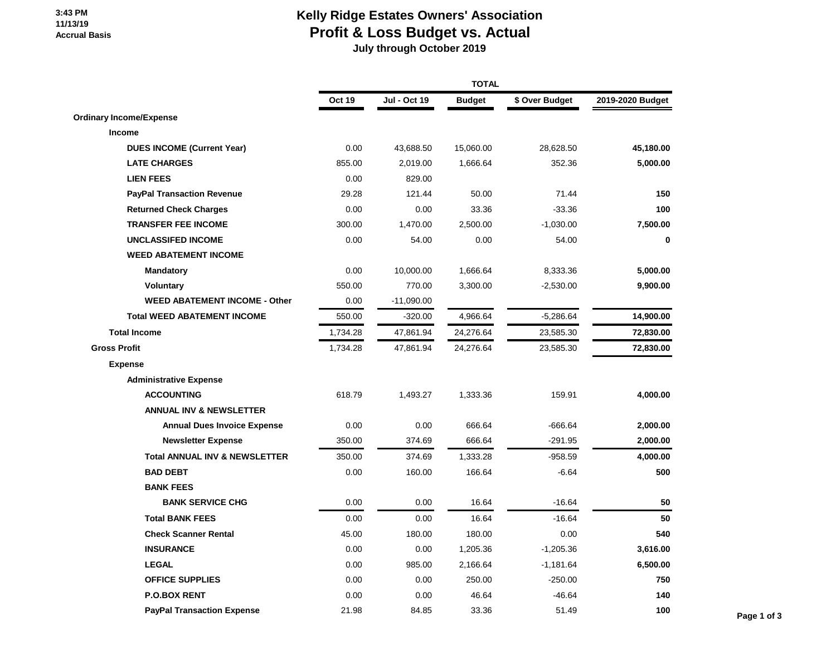### **3:43 PM 11/13/19 Accrual Basis**

# **Kelly Ridge Estates Owners' Association Profit & Loss Budget vs. Actual**

 **July through October 2019**

|                                          | <b>TOTAL</b>  |              |               |                |                  |             |
|------------------------------------------|---------------|--------------|---------------|----------------|------------------|-------------|
|                                          | <b>Oct 19</b> | Jul - Oct 19 | <b>Budget</b> | \$ Over Budget | 2019-2020 Budget |             |
| <b>Ordinary Income/Expense</b>           |               |              |               |                |                  |             |
| Income                                   |               |              |               |                |                  |             |
| <b>DUES INCOME (Current Year)</b>        | 0.00          | 43,688.50    | 15,060.00     | 28,628.50      | 45,180.00        |             |
| <b>LATE CHARGES</b>                      | 855.00        | 2,019.00     | 1,666.64      | 352.36         | 5,000.00         |             |
| <b>LIEN FEES</b>                         | 0.00          | 829.00       |               |                |                  |             |
| <b>PayPal Transaction Revenue</b>        | 29.28         | 121.44       | 50.00         | 71.44          | 150              |             |
| <b>Returned Check Charges</b>            | 0.00          | 0.00         | 33.36         | $-33.36$       | 100              |             |
| <b>TRANSFER FEE INCOME</b>               | 300.00        | 1,470.00     | 2,500.00      | $-1,030.00$    | 7,500.00         |             |
| <b>UNCLASSIFED INCOME</b>                | 0.00          | 54.00        | 0.00          | 54.00          | 0                |             |
| <b>WEED ABATEMENT INCOME</b>             |               |              |               |                |                  |             |
| <b>Mandatory</b>                         | 0.00          | 10,000.00    | 1,666.64      | 8,333.36       | 5,000.00         |             |
| Voluntary                                | 550.00        | 770.00       | 3,300.00      | $-2,530.00$    | 9,900.00         |             |
| <b>WEED ABATEMENT INCOME - Other</b>     | 0.00          | $-11,090.00$ |               |                |                  |             |
| <b>Total WEED ABATEMENT INCOME</b>       | 550.00        | $-320.00$    | 4,966.64      | $-5,286.64$    | 14,900.00        |             |
| <b>Total Income</b>                      | 1,734.28      | 47,861.94    | 24,276.64     | 23,585.30      | 72,830.00        |             |
| <b>Gross Profit</b>                      | 1,734.28      | 47,861.94    | 24,276.64     | 23,585.30      | 72,830.00        |             |
| <b>Expense</b>                           |               |              |               |                |                  |             |
| <b>Administrative Expense</b>            |               |              |               |                |                  |             |
| <b>ACCOUNTING</b>                        | 618.79        | 1,493.27     | 1,333.36      | 159.91         | 4,000.00         |             |
| <b>ANNUAL INV &amp; NEWSLETTER</b>       |               |              |               |                |                  |             |
| <b>Annual Dues Invoice Expense</b>       | 0.00          | 0.00         | 666.64        | $-666.64$      | 2,000.00         |             |
| <b>Newsletter Expense</b>                | 350.00        | 374.69       | 666.64        | $-291.95$      | 2,000.00         |             |
| <b>Total ANNUAL INV &amp; NEWSLETTER</b> | 350.00        | 374.69       | 1,333.28      | $-958.59$      | 4,000.00         |             |
| <b>BAD DEBT</b>                          | 0.00          | 160.00       | 166.64        | $-6.64$        | 500              |             |
| <b>BANK FEES</b>                         |               |              |               |                |                  |             |
| <b>BANK SERVICE CHG</b>                  | 0.00          | 0.00         | 16.64         | $-16.64$       | 50               |             |
| <b>Total BANK FEES</b>                   | 0.00          | 0.00         | 16.64         | $-16.64$       | 50               |             |
| <b>Check Scanner Rental</b>              | 45.00         | 180.00       | 180.00        | 0.00           | 540              |             |
| <b>INSURANCE</b>                         | 0.00          | 0.00         | 1,205.36      | $-1,205.36$    | 3,616.00         |             |
| <b>LEGAL</b>                             | 0.00          | 985.00       | 2,166.64      | $-1,181.64$    | 6,500.00         |             |
| <b>OFFICE SUPPLIES</b>                   | 0.00          | 0.00         | 250.00        | $-250.00$      | 750              |             |
| <b>P.O.BOX RENT</b>                      | 0.00          | 0.00         | 46.64         | $-46.64$       | 140              |             |
| <b>PayPal Transaction Expense</b>        | 21.98         | 84.85        | 33.36         | 51.49          | 100              | Page 1 of 3 |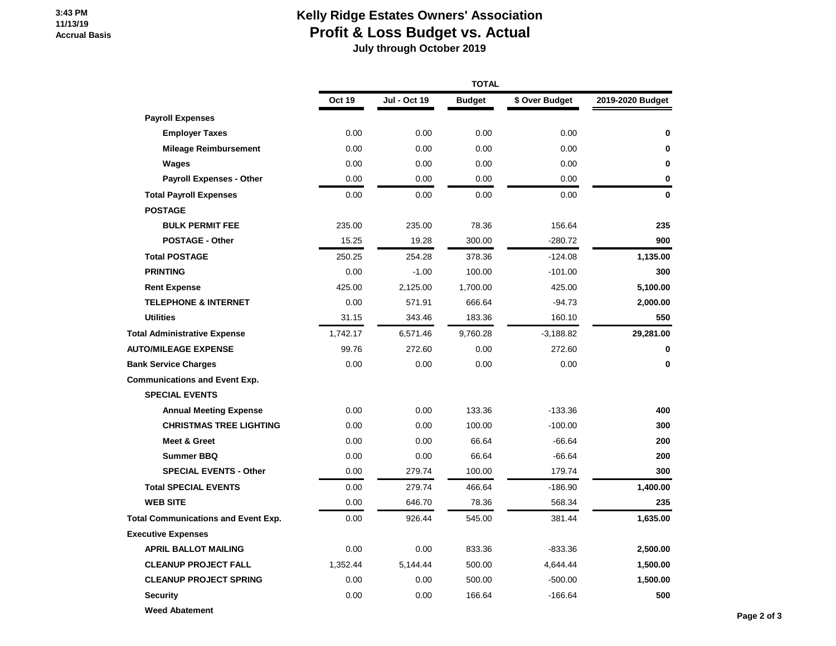### **3:43 PM 11/13/19 Accrual Basis**

## **Kelly Ridge Estates Owners' Association Profit & Loss Budget vs. Actual**

 **July through October 2019**

|                                            |          | <b>TOTAL</b>        |               |                |                  |  |  |
|--------------------------------------------|----------|---------------------|---------------|----------------|------------------|--|--|
|                                            | Oct 19   | <b>Jul - Oct 19</b> | <b>Budget</b> | \$ Over Budget | 2019-2020 Budget |  |  |
| <b>Payroll Expenses</b>                    |          |                     |               |                |                  |  |  |
| <b>Employer Taxes</b>                      | 0.00     | 0.00                | 0.00          | 0.00           | 0                |  |  |
| <b>Mileage Reimbursement</b>               | 0.00     | 0.00                | 0.00          | 0.00           | 0                |  |  |
| Wages                                      | 0.00     | 0.00                | 0.00          | 0.00           | 0                |  |  |
| <b>Payroll Expenses - Other</b>            | 0.00     | 0.00                | 0.00          | 0.00           | 0                |  |  |
| <b>Total Payroll Expenses</b>              | 0.00     | 0.00                | 0.00          | 0.00           | 0                |  |  |
| <b>POSTAGE</b>                             |          |                     |               |                |                  |  |  |
| <b>BULK PERMIT FEE</b>                     | 235.00   | 235.00              | 78.36         | 156.64         | 235              |  |  |
| <b>POSTAGE - Other</b>                     | 15.25    | 19.28               | 300.00        | $-280.72$      | 900              |  |  |
| <b>Total POSTAGE</b>                       | 250.25   | 254.28              | 378.36        | $-124.08$      | 1,135.00         |  |  |
| <b>PRINTING</b>                            | 0.00     | $-1.00$             | 100.00        | $-101.00$      | 300              |  |  |
| <b>Rent Expense</b>                        | 425.00   | 2,125.00            | 1,700.00      | 425.00         | 5,100.00         |  |  |
| <b>TELEPHONE &amp; INTERNET</b>            | 0.00     | 571.91              | 666.64        | $-94.73$       | 2,000.00         |  |  |
| <b>Utilities</b>                           | 31.15    | 343.46              | 183.36        | 160.10         | 550              |  |  |
| <b>Total Administrative Expense</b>        | 1,742.17 | 6,571.46            | 9,760.28      | $-3,188.82$    | 29,281.00        |  |  |
| <b>AUTO/MILEAGE EXPENSE</b>                | 99.76    | 272.60              | 0.00          | 272.60         | 0                |  |  |
| <b>Bank Service Charges</b>                | 0.00     | 0.00                | 0.00          | 0.00           | 0                |  |  |
| <b>Communications and Event Exp.</b>       |          |                     |               |                |                  |  |  |
| <b>SPECIAL EVENTS</b>                      |          |                     |               |                |                  |  |  |
| <b>Annual Meeting Expense</b>              | 0.00     | 0.00                | 133.36        | $-133.36$      | 400              |  |  |
| <b>CHRISTMAS TREE LIGHTING</b>             | 0.00     | 0.00                | 100.00        | $-100.00$      | 300              |  |  |
| <b>Meet &amp; Greet</b>                    | 0.00     | 0.00                | 66.64         | $-66.64$       | 200              |  |  |
| <b>Summer BBQ</b>                          | 0.00     | 0.00                | 66.64         | $-66.64$       | 200              |  |  |
| <b>SPECIAL EVENTS - Other</b>              | 0.00     | 279.74              | 100.00        | 179.74         | 300              |  |  |
| <b>Total SPECIAL EVENTS</b>                | 0.00     | 279.74              | 466.64        | $-186.90$      | 1,400.00         |  |  |
| <b>WEB SITE</b>                            | 0.00     | 646.70              | 78.36         | 568.34         | 235              |  |  |
| <b>Total Communications and Event Exp.</b> | 0.00     | 926.44              | 545.00        | 381.44         | 1,635.00         |  |  |
| <b>Executive Expenses</b>                  |          |                     |               |                |                  |  |  |
| <b>APRIL BALLOT MAILING</b>                | 0.00     | 0.00                | 833.36        | $-833.36$      | 2,500.00         |  |  |
| <b>CLEANUP PROJECT FALL</b>                | 1,352.44 | 5,144.44            | 500.00        | 4,644.44       | 1,500.00         |  |  |
| <b>CLEANUP PROJECT SPRING</b>              | 0.00     | 0.00                | 500.00        | $-500.00$      | 1,500.00         |  |  |
| <b>Security</b>                            | 0.00     | 0.00                | 166.64        | $-166.64$      | 500              |  |  |
| <b>Weed Abatement</b>                      |          |                     |               |                |                  |  |  |
|                                            |          |                     |               |                |                  |  |  |